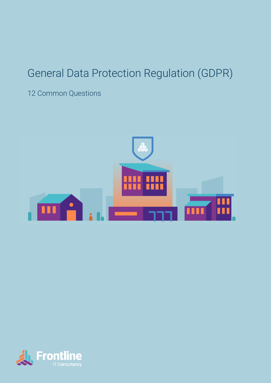# General Data Protection Regulation (GDPR)

12 Common Questions



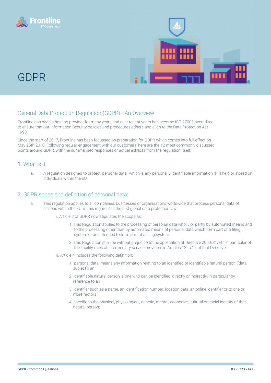



### General Data Protection Regulation (GDPR) - An Overview

Frontline has been a hosting provider for many years and over recent years has become ISO 27001 accredited to ensure that our Information Security policies and procedures adhere and align to the Data Protection Act 1998.

Since the start of 2017, Frontline has been focussed on preparation for GDPR which comes into full effect on May 25th 2018. Following regular engagement with our customers, here are the 12 most commonly discussed points around GDPR, with the summarised responses or actual extracts from the regulation itself:

### 1. What is it:

a. A regulation designed to protect 'personal data', which is any personally identifiable information (PII) held or stored on individuals within the EU.

### 2. GDPR scope and definition of personal data:

a. This regulation applies to all companies, businesses or organisations worldwide that process personal data of citizens within the EU, in this regard, it is the first global data protection law.

i. Article 2 of GDPR now stipulates the scope as:

- 1. This Regulation applies to the processing of personal data wholly or partly by automated means and to the processing other than by automated means of personal data which form part of a filing system or are intended to form part of a filing system.
- 2. This Regulation shall be without prejudice to the application of Directive 2000/31/EC, in particular of the liability rules of intermediary service providers in Articles 12 to 15 of that Directive.

ii. Article 4 includes the following definition:

- 1. 'personal data' means any information relating to an identified or identifiable natural person ('data subject'); an
- 2. identifiable natural person is one who can be identified, directly or indirectly, in particular by reference to an
- 3. identifier such as a name, an identification number, location data, an online identifier or to one or more factors
- 4. specific to the physical, physiological, genetic, mental, economic, cultural or social identity of that natural person;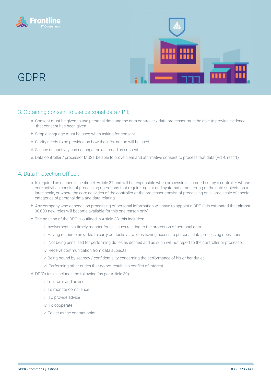



### 3. Obtaining consent to use personal data / PII:

- a. Consent must be given to use personal data and the data controller / data processor must be able to provide evidence that consent has been given
- b. Simple language must be used when asking for consent
- c. Clarity needs to be provided on how the information will be used
- d. Silence or inactivity can no longer be assumed as consent
- e. Data controller / processor MUST be able to prove clear and affirmative consent to process that data (Art 4, ref 11)

#### 4. Data Protection Officer:

- a. Is required as defined in section 4, Article 37 and will be responsible when processing is carried out by a controller whose core activities consist of processing operations that require regular and systematic monitoring of the data subjects on a large scale, or where the core activities of the controller or the processor consist of processing on a large scale of special categories of personal data and data relating.
- b. Any company who depends on processing of personal information will have to appoint a DPO (it is estimated that almost 30,000 new roles will become available for this one reason only).
- c. The position of the DPO is outlined in Article 38, this includes:
	- i. Involvement in a timely manner for all issues relating to the protection of personal data
	- ii. Having resource provided to carry out tasks as well as having access to personal data processing operations
	- iii. Not being penalised for performing duties as defined and as such will not report to the controller or processor
	- iv. Receive communication from data subjects
	- v. Being bound by secrecy / confidentiality concerning the performance of his or her duties
	- vi. Performing other duties that do not result in a conflict of interest
- d. DPO's tasks includes the following (as per Article 39):
	- i. To inform and advise
	- ii. To monitor compliance
	- iii. To provide advice
	- iv. To cooperate
	- v. To act as the contact point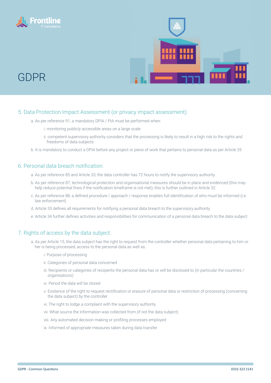



### 5. Data Protection Impact Assessment (or privacy impact assessment):

- a. As per reference 91, a mandatory DPIA / PIA must be performed when:
	- i. monitoring publicly accessible areas on a large scale
	- ii. competent supervisory authority considers that the processing is likely to result in a high risk to the rights and freedoms of data subjects
- b. It is mandatory to conduct a DPIA before any project or piece of work that pertains to personal data as per Article 35

### 6. Personal data breach notification:

- a. As per reference 85 and Article 33, the data controller has 72 hours to notify the supervisory authority
- b. As per reference 87, technological protection and organisational measures should be in place and evidenced (this may help reduce potential fines if the notification timeframe is not met), this is further outlined in Article 32
- c. As per reference 88, a defined procedure / approach / response enables full identification of who must be informed (i.e. law enforcement)
- d. Article 33 defines all requirements for notifying a personal data breach to the supervisory authority
- e. Article 34 further defines activities and responsibilities for communication of a personal data breach to the data subject

### 7. Rights of access by the data subject:

- a. As per Article 15, the data subject has the right to request from the controller whether personal data pertaining to him or her is being processed, access to the personal data as well as:
	- i. Purpose of processing
	- ii. Categories of personal data concerned
	- iii. Recipients or categories of recipients the personal data has or will be disclosed to (in particular the countries / organisations)
	- iv. Period the data will be stored
	- v. Existence of the right to request rectification or erasure of personal data or restriction of processing (concerning the data subject) by the controller
	- vi. The right to lodge a complaint with the supervisory authority
	- vii. What source the information was collected from (if not the data subject)
	- viii. Any automated decision making or profiling processes employed
	- ix. Informed of appropriate measures taken during data transfer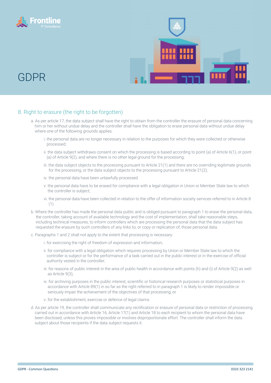



### 8. Right to erasure (the right to be forgotten)

- a. As per article 17, the data subject shall have the right to obtain from the controller the erasure of personal data concerning him or her without undue delay and the controller shall have the obligation to erase personal data without undue delay where one of the following grounds applies:
	- i. the personal data are no longer necessary in relation to the purposes for which they were collected or otherwise processed;
	- ii. the data subject withdraws consent on which the processing is based according to point (a) of Article 6(1), or point (a) of Article 9(2), and where there is no other legal ground for the processing;
	- iii. the data subject objects to the processing pursuant to Article 21(1) and there are no overriding legitimate grounds for the processing, or the data subject objects to the processing pursuant to Article 21(2);
	- iv. the personal data have been unlawfully processed
	- v. the personal data have to be erased for compliance with a legal obligation in Union or Member State law to which the controller is subject;
	- vi. the personal data have been collected in relation to the offer of information society services referred to in Article 8 (1).
- b. Where the controller has made the personal data public and is obliged pursuant to paragraph 1 to erase the personal data, the controller, taking account of available technology and the cost of implementation, shall take reasonable steps, including technical measures, to inform controllers which are processing the personal data that the data subject has requested the erasure by such controllers of any links to, or copy or replication of, those personal data.
- c. Paragraphs 1 and 2 shall not apply to the extent that processing is necessary:
	- i. for exercising the right of freedom of expression and information:
	- ii. for compliance with a legal obligation which requires processing by Union or Member State law to which the controller is subject or for the performance of a task carried out in the public interest or in the exercise of official authority vested in the controller;
	- iii. for reasons of public interest in the area of public health in accordance with points (h) and (i) of Article 9(2) as well as Article 9(3);
	- iv. for archiving purposes in the public interest, scientific or historical research purposes or statistical purposes in accordance with Article 89(1) in so far as the right referred to in paragraph 1 is likely to render impossible or seriously impair the achievement of the objectives of that processing; or
	- v. for the establishment, exercise or defence of legal claims.
- d. As per article 19, the controller shall communicate any rectification or erasure of personal data or restriction of processing carried out in accordance with Article 16, Article 17(1) and Article 18 to each recipient to whom the personal data have been disclosed, unless this proves impossible or involves disproportionate effort. The controller shall inform the data subject about those recipients if the data subject requests it.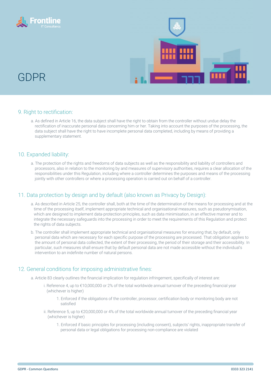



### 9. Right to rectification:

a. As defined in Article 16, the data subject shall have the right to obtain from the controller without undue delay the rectification of inaccurate personal data concerning him or her. Taking into account the purposes of the processing, the data subject shall have the right to have incomplete personal data completed, including by means of providing a supplementary statement.

### 10. Expanded liability:

a. The protection of the rights and freedoms of data subjects as well as the responsibility and liability of controllers and processors, also in relation to the monitoring by and measures of supervisory authorities, requires a clear allocation of the responsibilities under this Regulation, including where a controller determines the purposes and means of the processing jointly with other controllers or where a processing operation is carried out on behalf of a controller.

## 11. Data protection by design and by default (also known as Privacy by Design):

- a. As described in Article 25, the controller shall, both at the time of the determination of the means for processing and at the time of the processing itself, implement appropriate technical and organisational measures, such as pseudonymisation, which are designed to implement data-protection principles, such as data minimisation, in an effective manner and to integrate the necessary safeguards into the processing in order to meet the requirements of this Regulation and protect the rights of data subjects.
- b. The controller shall implement appropriate technical and organisational measures for ensuring that, by default, only personal data which are necessary for each specific purpose of the processing are processed. That obligation applies to the amount of personal data collected, the extent of their processing, the period of their storage and their accessibility. In particular, such measures shall ensure that by default personal data are not made accessible without the individual's intervention to an indefinite number of natural persons.

### 12. General conditions for imposing administrative fines:

- a. Article 83 clearly outlines the financial implication for regulation infringement, specifically of interest are:
	- i. Reference 4, up to €10,000,000 or 2% of the total worldwide annual turnover of the preceding financial year (whichever is higher)
		- 1. Enforced if the obligations of the controller, processor, certification body or monitoring body are not satisfied
	- ii. Reference 5, up to €20,000,000 or 4% of the total worldwide annual turnover of the preceding financial year (whichever is higher)
		- 1. Enforced if basic principles for processing (including consent), subjects' rights, inappropriate transfer of personal data or legal obligations for processing non-compliance are violated